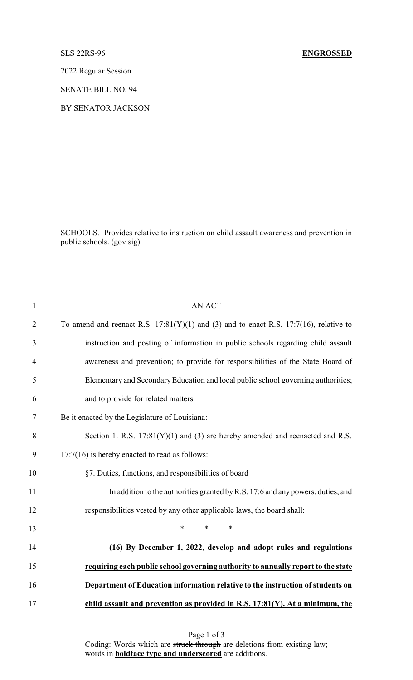## SLS 22RS-96 **ENGROSSED**

2022 Regular Session

SENATE BILL NO. 94

BY SENATOR JACKSON

SCHOOLS. Provides relative to instruction on child assault awareness and prevention in public schools. (gov sig)

| $\mathbf{1}$   | <b>AN ACT</b>                                                                              |
|----------------|--------------------------------------------------------------------------------------------|
| $\overline{2}$ | To amend and reenact R.S. $17:81(Y)(1)$ and (3) and to enact R.S. $17:7(16)$ , relative to |
| 3              | instruction and posting of information in public schools regarding child assault           |
| $\overline{4}$ | awareness and prevention; to provide for responsibilities of the State Board of            |
| 5              | Elementary and Secondary Education and local public school governing authorities;          |
| 6              | and to provide for related matters.                                                        |
| 7              | Be it enacted by the Legislature of Louisiana:                                             |
| 8              | Section 1. R.S. $17:81(Y)(1)$ and (3) are hereby amended and reenacted and R.S.            |
| 9              | $17:7(16)$ is hereby enacted to read as follows:                                           |
| 10             | §7. Duties, functions, and responsibilities of board                                       |
| 11             | In addition to the authorities granted by R.S. 17:6 and any powers, duties, and            |
| 12             | responsibilities vested by any other applicable laws, the board shall:                     |
| 13             | $\ast$<br>$\ast$<br>*                                                                      |
| 14             | (16) By December 1, 2022, develop and adopt rules and regulations                          |
| 15             | requiring each public school governing authority to annually report to the state           |
| 16             | Department of Education information relative to the instruction of students on             |
| 17             | child assault and prevention as provided in R.S. 17:81(Y). At a minimum, the               |

Page 1 of 3 Coding: Words which are struck through are deletions from existing law; words in **boldface type and underscored** are additions.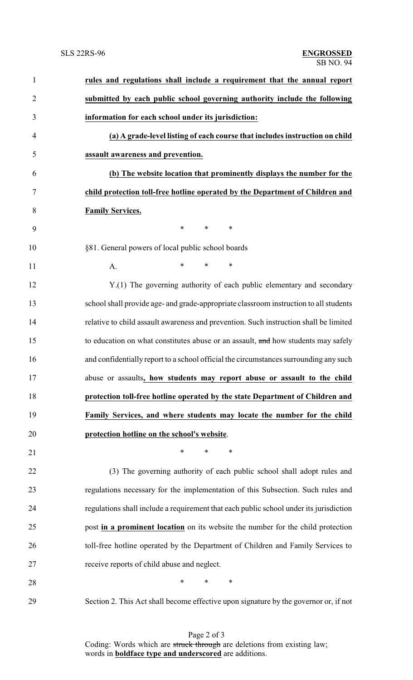| $\mathbf{1}$   | rules and regulations shall include a requirement that the annual report               |
|----------------|----------------------------------------------------------------------------------------|
| $\overline{2}$ | submitted by each public school governing authority include the following              |
| 3              | information for each school under its jurisdiction:                                    |
| $\overline{4}$ | (a) A grade-level listing of each course that includes instruction on child            |
| 5              | assault awareness and prevention.                                                      |
| 6              | (b) The website location that prominently displays the number for the                  |
| $\tau$         | child protection toll-free hotline operated by the Department of Children and          |
| 8              | <b>Family Services.</b>                                                                |
| 9              | $\ast$<br>$\ast$<br>$\ast$                                                             |
| 10             | §81. General powers of local public school boards                                      |
| 11             | $\ast$<br>$\ast$<br>$\ast$<br>A.                                                       |
| 12             | Y.(1) The governing authority of each public elementary and secondary                  |
| 13             | school shall provide age- and grade-appropriate classroom instruction to all students  |
| 14             | relative to child assault awareness and prevention. Such instruction shall be limited  |
| 15             | to education on what constitutes abuse or an assault, and how students may safely      |
| 16             | and confidentially report to a school official the circumstances surrounding any such  |
| 17             | abuse or assaults, how students may report abuse or assault to the child               |
| 18             | protection toll-free hotline operated by the state Department of Children and          |
| 19             | Family Services, and where students may locate the number for the child                |
| 20             | protection hotline on the school's website.                                            |
| 21             | $\ast$<br>$\ast$<br>∗                                                                  |
| 22             | (3) The governing authority of each public school shall adopt rules and                |
| 23             | regulations necessary for the implementation of this Subsection. Such rules and        |
| 24             | regulations shall include a requirement that each public school under its jurisdiction |
| 25             | post in a prominent location on its website the number for the child protection        |
| 26             | toll-free hotline operated by the Department of Children and Family Services to        |
| 27             | receive reports of child abuse and neglect.                                            |
| 28             | $\ast$<br>$\ast$<br>∗                                                                  |
| 29             | Section 2. This Act shall become effective upon signature by the governor or, if not   |

Page 2 of 3 Coding: Words which are struck through are deletions from existing law; words in **boldface type and underscored** are additions.